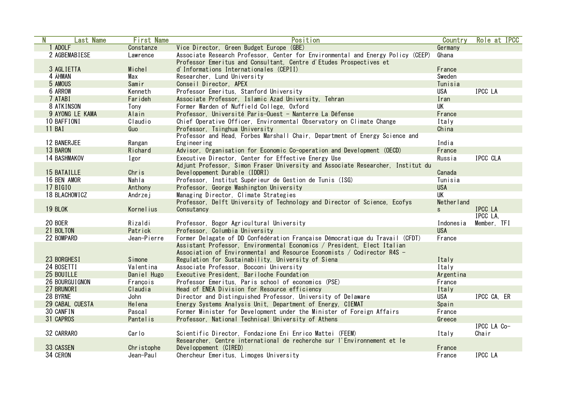| N | <b>Last Name</b>      | <b>First Name</b> | Position                                                                        | Country     | Role at IPCC   |
|---|-----------------------|-------------------|---------------------------------------------------------------------------------|-------------|----------------|
|   | 1 ADOLF               | Constanze         | Vice Director, Green Budget Europe (GBE)                                        | Germany     |                |
|   | 2 AGBEMABIESE         | Lawrence          | Associate Research Professor, Center for Environmental and Energy Policy (CEEP) | Ghana       |                |
|   |                       |                   | Professor Emeritus and Consultant, Centre d'Etudes Prospectives et              |             |                |
|   | 3 AGLIETTA            | Michel            | d'Informations Internationales (CEPII)                                          | France      |                |
|   | 4 ÅHMAN               | Max               | Researcher, Lund University                                                     | Sweden      |                |
|   | 5 AMOUS               | Samir             | Conseil Director, APEX                                                          | Tunisia     |                |
|   | <b>6 ARROW</b>        | Kenneth           | Professor Emeritus, Stanford University                                         | <b>USA</b>  | <b>IPCC LA</b> |
|   | 7 ATABI               | Farideh           | Associate Professor, Islamic Azad University, Tehran                            | Iran        |                |
|   | 8 ATKINSON            | Tony              | Former Warden of Nuffield College, Oxford                                       | <b>UK</b>   |                |
|   | 9 AYONG LE KAMA       | Alain             | Professor, Université Paris-Ouest - Nanterre La Défense                         | France      |                |
|   | 10 BAFFIONI           | Claudio           | Chief Operative Officer, Environmental Observatory on Climate Change            | Italy       |                |
|   | 11 BAI                | Guo               | Professor, Tsinghua University                                                  | China       |                |
|   |                       |                   | Professor and Head, Forbes Marshall Chair, Department of Energy Science and     |             |                |
|   | <b>12 BANERJEE</b>    | Rangan            | Engineering                                                                     | India       |                |
|   | 13 BARON              | Richard           | Advisor, Organisation for Economic Co-operation and Development (OECD)          | France      |                |
|   | <b>14 BASHMAKOV</b>   | Igor              | Executive Director, Center for Effective Energy Use                             | Russia      | IPCC CLA       |
|   |                       |                   | Adjunt Professor, Simon Fraser University and Associate Researcher, Institut du |             |                |
|   | <b>15 BATAILLE</b>    | Chris             | Developpement Durable (IDDRI)                                                   | Canada      |                |
|   | 16 BEN AMOR           | Nahla             | Professor, Institut Supérieur de Gestion de Tunis (ISG)                         | Tunisia     |                |
|   | <b>17 BIGIO</b>       | Anthony           | Professor, George Washington University                                         | <b>USA</b>  |                |
|   | <b>18 BLACHOWICZ</b>  | Andrzej           | Managing Director, Climate Strategies                                           | <b>UK</b>   |                |
|   |                       |                   | Professor, Delft University of Technology and Director of Science, Ecofys       | Nether land |                |
|   | 19 BLOK               | Kornelius         | Consutancy                                                                      | S           | <b>IPCC LA</b> |
|   |                       |                   |                                                                                 |             | IPCC LA.       |
|   | 20 BOER               | Rizaldi           | Professor, Bogor Agricultural University                                        | Indonesia   | Member, TFI    |
|   | 21 BOLTON             | Patrick           | Professor, Columbia University                                                  | <b>USA</b>  |                |
|   | 22 BOMPARD            | Jean-Pierre       | Former Delagate of DD Confédération Française Démocratique du Travail (CFDT)    | France      |                |
|   |                       |                   | Assistant Professor, Environmental Economics / President, Elect Italian         |             |                |
|   |                       |                   | Association of Environmental and Resource Economists / Codirector R4S -         |             |                |
|   | 23 BORGHESI           | Simone            | Regulation for Sustainability, University of Siena                              | Italy       |                |
|   | 24 BOSETTI            | Valentina         | Associate Professor, Bocconi University                                         | Italy       |                |
|   | 25 BOUILLE            | Daniel Hugo       | Executive President, Bariloche Foundation                                       | Argentina   |                |
|   | <b>26 BOURGUIGNON</b> | François          | Professor Emeritus, Paris school of economics (PSE)                             | France      |                |
|   | 27 BRUNORI            | Claudia           | Head of ENEA Division for Resource efficiency                                   | Italy       |                |
|   | 28 BYRNE              | John              | Director and Distinguished Professor, University of Delaware                    | USA         | IPCC CA. ER    |
|   | 29 CABAL CUESTA       | Helena            | Energy Systems Analysis Unit, Department of Energy, CIEMAT                      | Spain       |                |
|   | 30 CANFIN             | Pascal            | Former Minister for Development under the Minister of Foreign Affairs           | France      |                |
|   | 31 CAPROS             | Pantelis          | Professor, National Technical University of Athens                              | Greece      |                |
|   |                       |                   |                                                                                 |             | IPCC LA Co-    |
|   | 32 CARRARO            | Carlo             | Scientific Director, Fondazione Eni Enrico Mattei (FEEM)                        | Italy       | Chair          |
|   |                       |                   | Researcher, Centre international de recherche sur l'Environnement et le         |             |                |
|   | 33 CASSEN             | Christophe        | Développement (CIRED)                                                           | France      |                |
|   | 34 CERON              | Jean-Paul         | Chercheur Emeritus, Limoges University                                          | France      | <b>IPCC LA</b> |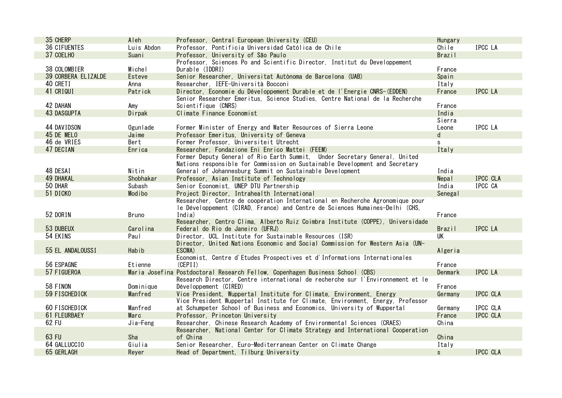| 35 CHERP             | Aleh         | Professor, Central European University (CEU)                                                            | Hungary       |                |
|----------------------|--------------|---------------------------------------------------------------------------------------------------------|---------------|----------------|
| <b>36 CIFUENTES</b>  | Luis Abdon   | Professor, Pontificia Universidad Católica de Chile                                                     | Chile         | IPCC LA        |
| 37 COELHO            | Suani        | Professor, University of São Paulo                                                                      | <b>Brazil</b> |                |
|                      |              | Professor, Sciences Po and Scientific Director, Institut du Developpement                               |               |                |
| 38 COLOMBIER         | Michel       | Durable (IDDRI)                                                                                         | France        |                |
| 39 CORBERA ELIZALDE  | Esteve       | Senior Researcher, Universitat Autònoma de Barcelona (UAB)                                              | Spain         |                |
| 40 CRETI             | Anna         | Researcher, IEFE-Università Bocconi                                                                     | Italy         |                |
| 41 CRIQUI            | Patrick      | Director, Economie du Développement Durable et de l'Energie CNRS-(EDDEN)                                | France        | <b>IPCC LA</b> |
|                      |              | Senior Researcher Emeritus, Science Studies, Centre National de la Recherche                            |               |                |
| <b>42 DAHAN</b>      | Amy          | Scientifique (CNRS)                                                                                     | France        |                |
| <b>43 DASGUPTA</b>   | Dirpak       | Climate Finance Economist                                                                               | India         |                |
|                      |              |                                                                                                         | Sierra        |                |
| 44 DAVIDSON          | Ogunlade     | Former Minister of Energy and Water Resources of Sierra Leone                                           | Leone         | IPCC LA        |
| 45 DE MELO           | Jaime        | Professor Emeritus, University of Geneva                                                                | d             |                |
| 46 de VRIES          | Bert         | Former Professor, Universiteit Utrecht                                                                  | s             |                |
| 47 DECIAN            | Enrica       | Researcher, Fondazione Eni Enrico Mattei (FEEM)                                                         | Italy         |                |
|                      |              | Former Deputy General of Rio Earth Summit, Under Secretary General, United                              |               |                |
|                      |              | Nations responsible for Commission on Sustainable Development and Secretary                             |               |                |
| 48 DESAI             | Nitin        | General of Johannesburg Summit on Sustainable Development                                               | India         |                |
| <b>49 DHAKAL</b>     | Shobhakar    | Professor, Asian Institute of Technology                                                                | Nepal         | IPCC CLA       |
| 50 DHAR              | Subash       | Senior Economist, UNEP DTU Partnership                                                                  | India         | IPCC CA        |
| 51 DICKO             | Modibo       | Project Director, Intrahealth International                                                             | Senegal       |                |
|                      |              | Researcher, Centre de coopération International en Recherche Agronomique pour                           |               |                |
|                      |              | le Développement (CIRAD, France) and Centre de Sciences Humaines-Delhi (CHS,                            |               |                |
| 52 DORIN             | <b>Bruno</b> | India)                                                                                                  | France        |                |
|                      |              | Researcher, Centro Clima, Alberto Ruiz Coimbra Institute (COPPE), Universidade                          |               |                |
| 53 DUBEUX            | Carolina     | Federal do Rio de Janeiro (UFRJ)                                                                        | <b>Brazil</b> | IPCC LA        |
| 54 EKINS             | Paul         | Director, UCL Institute for Sustainable Resources (ISR)                                                 | UK            |                |
|                      |              | Director, United Nations Economic and Social Commission for Western Asia (UN-                           |               |                |
| 55 EL ANDALOUSSI     | Habib        | ESCWA)                                                                                                  | Algeria       |                |
| 56 ESPAGNE           |              | Economist, Centre d'Etudes Prospectives et d'Informations Internationales                               |               |                |
| 57 FIGUEROA          | Etienne      | (CEPII)                                                                                                 | France        | <b>IPCC LA</b> |
|                      |              | Maria Josefina Postdoctoral Research Fellow, Copenhagen Business School (CBS)                           | Denmark       |                |
| 58 FINON             | Dominique    | Research Director, Centre international de recherche sur l'Environnement et le<br>Développement (CIRED) | France        |                |
| 59 FISCHEDICK        | Manfred      | Vice President, Wuppertal Institute for Climate, Environment, Energy                                    | Germany       | IPCC CLA       |
|                      |              | Vice President Wuppertal Institute for Climate, Environment, Energy, Professor                          |               |                |
| <b>60 FISCHEDICK</b> | Manfred      | at Schumpeter School of Business and Economics, University of Wuppertal                                 | Germany       | IPCC CLA       |
| <b>61 FLEURBAEY</b>  | Marc         | Professor, Princeton University                                                                         | France        | IPCC CLA       |
| 62 FU                | Jia-Feng     | Researcher, Chinese Research Academy of Environmental Sciences (CRAES)                                  | China         |                |
|                      |              | Researcher, National Center for Climate Strategy and International Cooperation                          |               |                |
| 63 FU                | Sha          | of China                                                                                                | China         |                |
| 64 GALLUCCIO         | Giulia       | Senior Researcher, Euro-Mediterranean Center on Climate Change                                          | Italy         |                |
| 65 GERLAGH           | Reyer        | Head of Department, Tilburg University                                                                  | $\mathsf{s}$  | IPCC CLA       |
|                      |              |                                                                                                         |               |                |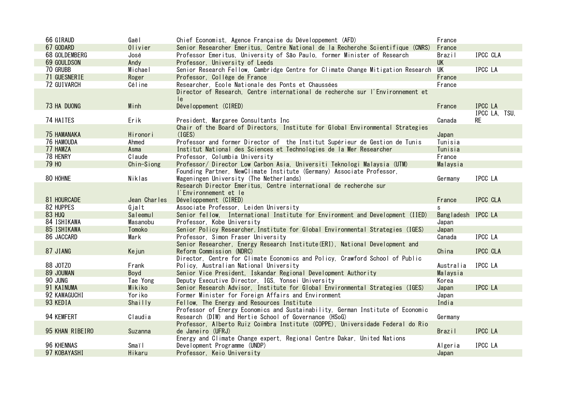| 67 GODARD<br>Olivier<br>Senior Researcher Emeritus, Centre National de la Recherche Scientifique (CNRS)<br>France<br>68 GOLDEMBERG<br>IPCC CLA<br>Professor Emeritus, University of São Paulo, former Minister of Research<br>Brazil<br>José<br>69 GOULDSON<br><b>UK</b><br>Professor, University of Leeds<br>Andy<br>70 GRUBB<br><b>IPCC LA</b><br>Michael<br>Senior Research Fellow, Cambridge Centre for Climate Change Mitigation Research UK<br>71 GUESNERIE<br>Roger<br>Professor, Collège de France<br>France<br>Researcher, Ecole Nationale des Ponts et Chaussées<br>72 GUIVARCH<br>Céline<br>France<br>Director of Research, Centre international de recherche sur l'Environnement et<br>le.<br>73 HA DUONG<br>Minh<br><b>IPCC LA</b><br>Développement (CIRED)<br>France<br>IPCC LA, TSU,<br>74 HAITES<br>Erik<br><b>RE</b><br>President, Margaree Consultants Inc<br>Canada<br>Chair of the Board of Directors, Institute for Global Environmental Strategies<br><b>75 HAMANAKA</b><br>(IGES)<br>Hironori<br>Japan<br><b>76 HAMOUDA</b><br>Professor and former Director of the Institut Supérieur de Gestion de Tunis<br>Ahmed<br>Tunisia<br>77 HAMZA<br>Institut National des Sciences et Technologies de la Mer Researcher<br>Tunisia<br>Asma<br>78 HENRY<br>France<br>Claude<br>Professor, Columbia University<br>79 H <sub>0</sub><br>Chin-Siong<br>Professor/ Director Low Carbon Asia, Universiti Teknologi Malaysia (UTM)<br>Malaysia<br>Founding Partner, NewClimate Institute (Germany) Associate Professor,<br>80 HÖHNE<br>IPCC LA<br>Niklas<br>Wageningen University (The Netherlands)<br>Germany<br>Research Director Emeritus, Centre international de recherche sur<br>l'Environnement et le<br>IPCC CLA<br>81 HOURCADE<br>Jean Charles<br>Développement (CIRED)<br>France<br>82 HUPPES<br>Gjalt<br>Associate Professor, Leiden University<br>s<br><b>83 HUQ</b><br>Bangladesh IPCC LA<br>Saleemul<br>Senior fellow, International Institute for Environment and Development (IIED)<br>84 ISHIKAWA<br>Masanobu<br>Professor, Kobe University<br>Japan<br>85 ISHIKAWA<br>Senior Policy Researcher, Institute for Global Environmental Strategies (IGES)<br>Tomoko<br>Japan<br><b>IPCC LA</b><br>86 JACCARD<br>Mark<br>Professor, Simon Fraser University<br>Canada<br>Senior Researcher, Energy Research Institute (ERI), National Development and<br>87 JIANG<br>China<br>IPCC CLA<br>Kejun<br>Reform Commission (NDRC)<br>Director, Centre for Climate Economics and Policy, Crawford School of Public<br>88 JOTZ0<br>IPCC LA<br>Policy, Australian National University<br>Frank<br>Australia<br>89 JOUMAN<br>Senior Vice President, Iskandar Regional Development Authority<br>Boyd<br>Malaysia<br>90 JUNG<br>Tae Yong<br>Deputy Executive Director, IGS, Yonsei University<br>Korea<br><b>IPCC LA</b><br>91 KAINUMA<br>Mikiko<br>Senior Research Advisor, Institute for Global Environmental Strategies (IGES)<br>Japan<br>92 KAWAGUCHI<br>Yoriko<br>Former Minister for Foreign Affairs and Environment<br>Japan<br>93 KEDIA<br>Shailly<br>Fellow, The Energy and Resources Institute<br>India<br>Professor of Energy Economics and Sustainability, German Institute of Economic<br>94 KEMFERT<br>Claudia<br>Research (DIW) and Hertie School of Governance (HSoG)<br>Germany<br>Professor, Alberto Ruiz Coimbra Institute (COPPE), Universidade Federal do Rio<br>95 KHAN RIBEIRO<br><b>IPCC LA</b><br>Suzanna<br><b>Brazil</b><br>de Janeiro (UFRJ)<br>Energy and Climate Change expert, Regional Centre Dakar, United Nations<br>96 KHENNAS<br>IPCC LA<br>Smaïl<br>Development Programme (UNDP)<br>Algeria<br>97 KOBAYASHI<br>Hikaru<br>Professor, Keio University<br>Japan | 66 GIRAUD | Gaël | Chief Economist, Agence Française du Développement (AFD) | France |  |
|--------------------------------------------------------------------------------------------------------------------------------------------------------------------------------------------------------------------------------------------------------------------------------------------------------------------------------------------------------------------------------------------------------------------------------------------------------------------------------------------------------------------------------------------------------------------------------------------------------------------------------------------------------------------------------------------------------------------------------------------------------------------------------------------------------------------------------------------------------------------------------------------------------------------------------------------------------------------------------------------------------------------------------------------------------------------------------------------------------------------------------------------------------------------------------------------------------------------------------------------------------------------------------------------------------------------------------------------------------------------------------------------------------------------------------------------------------------------------------------------------------------------------------------------------------------------------------------------------------------------------------------------------------------------------------------------------------------------------------------------------------------------------------------------------------------------------------------------------------------------------------------------------------------------------------------------------------------------------------------------------------------------------------------------------------------------------------------------------------------------------------------------------------------------------------------------------------------------------------------------------------------------------------------------------------------------------------------------------------------------------------------------------------------------------------------------------------------------------------------------------------------------------------------------------------------------------------------------------------------------------------------------------------------------------------------------------------------------------------------------------------------------------------------------------------------------------------------------------------------------------------------------------------------------------------------------------------------------------------------------------------------------------------------------------------------------------------------------------------------------------------------------------------------------------------------------------------------------------------------------------------------------------------------------------------------------------------------------------------------------------------------------------------------------------------------------------------------------------------------------------------------------------------------------------------------------------------------------------------------------------------------------------------------------------------------------------------------|-----------|------|----------------------------------------------------------|--------|--|
|                                                                                                                                                                                                                                                                                                                                                                                                                                                                                                                                                                                                                                                                                                                                                                                                                                                                                                                                                                                                                                                                                                                                                                                                                                                                                                                                                                                                                                                                                                                                                                                                                                                                                                                                                                                                                                                                                                                                                                                                                                                                                                                                                                                                                                                                                                                                                                                                                                                                                                                                                                                                                                                                                                                                                                                                                                                                                                                                                                                                                                                                                                                                                                                                                                                                                                                                                                                                                                                                                                                                                                                                                                                                                                              |           |      |                                                          |        |  |
|                                                                                                                                                                                                                                                                                                                                                                                                                                                                                                                                                                                                                                                                                                                                                                                                                                                                                                                                                                                                                                                                                                                                                                                                                                                                                                                                                                                                                                                                                                                                                                                                                                                                                                                                                                                                                                                                                                                                                                                                                                                                                                                                                                                                                                                                                                                                                                                                                                                                                                                                                                                                                                                                                                                                                                                                                                                                                                                                                                                                                                                                                                                                                                                                                                                                                                                                                                                                                                                                                                                                                                                                                                                                                                              |           |      |                                                          |        |  |
|                                                                                                                                                                                                                                                                                                                                                                                                                                                                                                                                                                                                                                                                                                                                                                                                                                                                                                                                                                                                                                                                                                                                                                                                                                                                                                                                                                                                                                                                                                                                                                                                                                                                                                                                                                                                                                                                                                                                                                                                                                                                                                                                                                                                                                                                                                                                                                                                                                                                                                                                                                                                                                                                                                                                                                                                                                                                                                                                                                                                                                                                                                                                                                                                                                                                                                                                                                                                                                                                                                                                                                                                                                                                                                              |           |      |                                                          |        |  |
|                                                                                                                                                                                                                                                                                                                                                                                                                                                                                                                                                                                                                                                                                                                                                                                                                                                                                                                                                                                                                                                                                                                                                                                                                                                                                                                                                                                                                                                                                                                                                                                                                                                                                                                                                                                                                                                                                                                                                                                                                                                                                                                                                                                                                                                                                                                                                                                                                                                                                                                                                                                                                                                                                                                                                                                                                                                                                                                                                                                                                                                                                                                                                                                                                                                                                                                                                                                                                                                                                                                                                                                                                                                                                                              |           |      |                                                          |        |  |
|                                                                                                                                                                                                                                                                                                                                                                                                                                                                                                                                                                                                                                                                                                                                                                                                                                                                                                                                                                                                                                                                                                                                                                                                                                                                                                                                                                                                                                                                                                                                                                                                                                                                                                                                                                                                                                                                                                                                                                                                                                                                                                                                                                                                                                                                                                                                                                                                                                                                                                                                                                                                                                                                                                                                                                                                                                                                                                                                                                                                                                                                                                                                                                                                                                                                                                                                                                                                                                                                                                                                                                                                                                                                                                              |           |      |                                                          |        |  |
|                                                                                                                                                                                                                                                                                                                                                                                                                                                                                                                                                                                                                                                                                                                                                                                                                                                                                                                                                                                                                                                                                                                                                                                                                                                                                                                                                                                                                                                                                                                                                                                                                                                                                                                                                                                                                                                                                                                                                                                                                                                                                                                                                                                                                                                                                                                                                                                                                                                                                                                                                                                                                                                                                                                                                                                                                                                                                                                                                                                                                                                                                                                                                                                                                                                                                                                                                                                                                                                                                                                                                                                                                                                                                                              |           |      |                                                          |        |  |
|                                                                                                                                                                                                                                                                                                                                                                                                                                                                                                                                                                                                                                                                                                                                                                                                                                                                                                                                                                                                                                                                                                                                                                                                                                                                                                                                                                                                                                                                                                                                                                                                                                                                                                                                                                                                                                                                                                                                                                                                                                                                                                                                                                                                                                                                                                                                                                                                                                                                                                                                                                                                                                                                                                                                                                                                                                                                                                                                                                                                                                                                                                                                                                                                                                                                                                                                                                                                                                                                                                                                                                                                                                                                                                              |           |      |                                                          |        |  |
|                                                                                                                                                                                                                                                                                                                                                                                                                                                                                                                                                                                                                                                                                                                                                                                                                                                                                                                                                                                                                                                                                                                                                                                                                                                                                                                                                                                                                                                                                                                                                                                                                                                                                                                                                                                                                                                                                                                                                                                                                                                                                                                                                                                                                                                                                                                                                                                                                                                                                                                                                                                                                                                                                                                                                                                                                                                                                                                                                                                                                                                                                                                                                                                                                                                                                                                                                                                                                                                                                                                                                                                                                                                                                                              |           |      |                                                          |        |  |
|                                                                                                                                                                                                                                                                                                                                                                                                                                                                                                                                                                                                                                                                                                                                                                                                                                                                                                                                                                                                                                                                                                                                                                                                                                                                                                                                                                                                                                                                                                                                                                                                                                                                                                                                                                                                                                                                                                                                                                                                                                                                                                                                                                                                                                                                                                                                                                                                                                                                                                                                                                                                                                                                                                                                                                                                                                                                                                                                                                                                                                                                                                                                                                                                                                                                                                                                                                                                                                                                                                                                                                                                                                                                                                              |           |      |                                                          |        |  |
|                                                                                                                                                                                                                                                                                                                                                                                                                                                                                                                                                                                                                                                                                                                                                                                                                                                                                                                                                                                                                                                                                                                                                                                                                                                                                                                                                                                                                                                                                                                                                                                                                                                                                                                                                                                                                                                                                                                                                                                                                                                                                                                                                                                                                                                                                                                                                                                                                                                                                                                                                                                                                                                                                                                                                                                                                                                                                                                                                                                                                                                                                                                                                                                                                                                                                                                                                                                                                                                                                                                                                                                                                                                                                                              |           |      |                                                          |        |  |
|                                                                                                                                                                                                                                                                                                                                                                                                                                                                                                                                                                                                                                                                                                                                                                                                                                                                                                                                                                                                                                                                                                                                                                                                                                                                                                                                                                                                                                                                                                                                                                                                                                                                                                                                                                                                                                                                                                                                                                                                                                                                                                                                                                                                                                                                                                                                                                                                                                                                                                                                                                                                                                                                                                                                                                                                                                                                                                                                                                                                                                                                                                                                                                                                                                                                                                                                                                                                                                                                                                                                                                                                                                                                                                              |           |      |                                                          |        |  |
|                                                                                                                                                                                                                                                                                                                                                                                                                                                                                                                                                                                                                                                                                                                                                                                                                                                                                                                                                                                                                                                                                                                                                                                                                                                                                                                                                                                                                                                                                                                                                                                                                                                                                                                                                                                                                                                                                                                                                                                                                                                                                                                                                                                                                                                                                                                                                                                                                                                                                                                                                                                                                                                                                                                                                                                                                                                                                                                                                                                                                                                                                                                                                                                                                                                                                                                                                                                                                                                                                                                                                                                                                                                                                                              |           |      |                                                          |        |  |
|                                                                                                                                                                                                                                                                                                                                                                                                                                                                                                                                                                                                                                                                                                                                                                                                                                                                                                                                                                                                                                                                                                                                                                                                                                                                                                                                                                                                                                                                                                                                                                                                                                                                                                                                                                                                                                                                                                                                                                                                                                                                                                                                                                                                                                                                                                                                                                                                                                                                                                                                                                                                                                                                                                                                                                                                                                                                                                                                                                                                                                                                                                                                                                                                                                                                                                                                                                                                                                                                                                                                                                                                                                                                                                              |           |      |                                                          |        |  |
|                                                                                                                                                                                                                                                                                                                                                                                                                                                                                                                                                                                                                                                                                                                                                                                                                                                                                                                                                                                                                                                                                                                                                                                                                                                                                                                                                                                                                                                                                                                                                                                                                                                                                                                                                                                                                                                                                                                                                                                                                                                                                                                                                                                                                                                                                                                                                                                                                                                                                                                                                                                                                                                                                                                                                                                                                                                                                                                                                                                                                                                                                                                                                                                                                                                                                                                                                                                                                                                                                                                                                                                                                                                                                                              |           |      |                                                          |        |  |
|                                                                                                                                                                                                                                                                                                                                                                                                                                                                                                                                                                                                                                                                                                                                                                                                                                                                                                                                                                                                                                                                                                                                                                                                                                                                                                                                                                                                                                                                                                                                                                                                                                                                                                                                                                                                                                                                                                                                                                                                                                                                                                                                                                                                                                                                                                                                                                                                                                                                                                                                                                                                                                                                                                                                                                                                                                                                                                                                                                                                                                                                                                                                                                                                                                                                                                                                                                                                                                                                                                                                                                                                                                                                                                              |           |      |                                                          |        |  |
|                                                                                                                                                                                                                                                                                                                                                                                                                                                                                                                                                                                                                                                                                                                                                                                                                                                                                                                                                                                                                                                                                                                                                                                                                                                                                                                                                                                                                                                                                                                                                                                                                                                                                                                                                                                                                                                                                                                                                                                                                                                                                                                                                                                                                                                                                                                                                                                                                                                                                                                                                                                                                                                                                                                                                                                                                                                                                                                                                                                                                                                                                                                                                                                                                                                                                                                                                                                                                                                                                                                                                                                                                                                                                                              |           |      |                                                          |        |  |
|                                                                                                                                                                                                                                                                                                                                                                                                                                                                                                                                                                                                                                                                                                                                                                                                                                                                                                                                                                                                                                                                                                                                                                                                                                                                                                                                                                                                                                                                                                                                                                                                                                                                                                                                                                                                                                                                                                                                                                                                                                                                                                                                                                                                                                                                                                                                                                                                                                                                                                                                                                                                                                                                                                                                                                                                                                                                                                                                                                                                                                                                                                                                                                                                                                                                                                                                                                                                                                                                                                                                                                                                                                                                                                              |           |      |                                                          |        |  |
|                                                                                                                                                                                                                                                                                                                                                                                                                                                                                                                                                                                                                                                                                                                                                                                                                                                                                                                                                                                                                                                                                                                                                                                                                                                                                                                                                                                                                                                                                                                                                                                                                                                                                                                                                                                                                                                                                                                                                                                                                                                                                                                                                                                                                                                                                                                                                                                                                                                                                                                                                                                                                                                                                                                                                                                                                                                                                                                                                                                                                                                                                                                                                                                                                                                                                                                                                                                                                                                                                                                                                                                                                                                                                                              |           |      |                                                          |        |  |
|                                                                                                                                                                                                                                                                                                                                                                                                                                                                                                                                                                                                                                                                                                                                                                                                                                                                                                                                                                                                                                                                                                                                                                                                                                                                                                                                                                                                                                                                                                                                                                                                                                                                                                                                                                                                                                                                                                                                                                                                                                                                                                                                                                                                                                                                                                                                                                                                                                                                                                                                                                                                                                                                                                                                                                                                                                                                                                                                                                                                                                                                                                                                                                                                                                                                                                                                                                                                                                                                                                                                                                                                                                                                                                              |           |      |                                                          |        |  |
|                                                                                                                                                                                                                                                                                                                                                                                                                                                                                                                                                                                                                                                                                                                                                                                                                                                                                                                                                                                                                                                                                                                                                                                                                                                                                                                                                                                                                                                                                                                                                                                                                                                                                                                                                                                                                                                                                                                                                                                                                                                                                                                                                                                                                                                                                                                                                                                                                                                                                                                                                                                                                                                                                                                                                                                                                                                                                                                                                                                                                                                                                                                                                                                                                                                                                                                                                                                                                                                                                                                                                                                                                                                                                                              |           |      |                                                          |        |  |
|                                                                                                                                                                                                                                                                                                                                                                                                                                                                                                                                                                                                                                                                                                                                                                                                                                                                                                                                                                                                                                                                                                                                                                                                                                                                                                                                                                                                                                                                                                                                                                                                                                                                                                                                                                                                                                                                                                                                                                                                                                                                                                                                                                                                                                                                                                                                                                                                                                                                                                                                                                                                                                                                                                                                                                                                                                                                                                                                                                                                                                                                                                                                                                                                                                                                                                                                                                                                                                                                                                                                                                                                                                                                                                              |           |      |                                                          |        |  |
|                                                                                                                                                                                                                                                                                                                                                                                                                                                                                                                                                                                                                                                                                                                                                                                                                                                                                                                                                                                                                                                                                                                                                                                                                                                                                                                                                                                                                                                                                                                                                                                                                                                                                                                                                                                                                                                                                                                                                                                                                                                                                                                                                                                                                                                                                                                                                                                                                                                                                                                                                                                                                                                                                                                                                                                                                                                                                                                                                                                                                                                                                                                                                                                                                                                                                                                                                                                                                                                                                                                                                                                                                                                                                                              |           |      |                                                          |        |  |
|                                                                                                                                                                                                                                                                                                                                                                                                                                                                                                                                                                                                                                                                                                                                                                                                                                                                                                                                                                                                                                                                                                                                                                                                                                                                                                                                                                                                                                                                                                                                                                                                                                                                                                                                                                                                                                                                                                                                                                                                                                                                                                                                                                                                                                                                                                                                                                                                                                                                                                                                                                                                                                                                                                                                                                                                                                                                                                                                                                                                                                                                                                                                                                                                                                                                                                                                                                                                                                                                                                                                                                                                                                                                                                              |           |      |                                                          |        |  |
|                                                                                                                                                                                                                                                                                                                                                                                                                                                                                                                                                                                                                                                                                                                                                                                                                                                                                                                                                                                                                                                                                                                                                                                                                                                                                                                                                                                                                                                                                                                                                                                                                                                                                                                                                                                                                                                                                                                                                                                                                                                                                                                                                                                                                                                                                                                                                                                                                                                                                                                                                                                                                                                                                                                                                                                                                                                                                                                                                                                                                                                                                                                                                                                                                                                                                                                                                                                                                                                                                                                                                                                                                                                                                                              |           |      |                                                          |        |  |
|                                                                                                                                                                                                                                                                                                                                                                                                                                                                                                                                                                                                                                                                                                                                                                                                                                                                                                                                                                                                                                                                                                                                                                                                                                                                                                                                                                                                                                                                                                                                                                                                                                                                                                                                                                                                                                                                                                                                                                                                                                                                                                                                                                                                                                                                                                                                                                                                                                                                                                                                                                                                                                                                                                                                                                                                                                                                                                                                                                                                                                                                                                                                                                                                                                                                                                                                                                                                                                                                                                                                                                                                                                                                                                              |           |      |                                                          |        |  |
|                                                                                                                                                                                                                                                                                                                                                                                                                                                                                                                                                                                                                                                                                                                                                                                                                                                                                                                                                                                                                                                                                                                                                                                                                                                                                                                                                                                                                                                                                                                                                                                                                                                                                                                                                                                                                                                                                                                                                                                                                                                                                                                                                                                                                                                                                                                                                                                                                                                                                                                                                                                                                                                                                                                                                                                                                                                                                                                                                                                                                                                                                                                                                                                                                                                                                                                                                                                                                                                                                                                                                                                                                                                                                                              |           |      |                                                          |        |  |
|                                                                                                                                                                                                                                                                                                                                                                                                                                                                                                                                                                                                                                                                                                                                                                                                                                                                                                                                                                                                                                                                                                                                                                                                                                                                                                                                                                                                                                                                                                                                                                                                                                                                                                                                                                                                                                                                                                                                                                                                                                                                                                                                                                                                                                                                                                                                                                                                                                                                                                                                                                                                                                                                                                                                                                                                                                                                                                                                                                                                                                                                                                                                                                                                                                                                                                                                                                                                                                                                                                                                                                                                                                                                                                              |           |      |                                                          |        |  |
|                                                                                                                                                                                                                                                                                                                                                                                                                                                                                                                                                                                                                                                                                                                                                                                                                                                                                                                                                                                                                                                                                                                                                                                                                                                                                                                                                                                                                                                                                                                                                                                                                                                                                                                                                                                                                                                                                                                                                                                                                                                                                                                                                                                                                                                                                                                                                                                                                                                                                                                                                                                                                                                                                                                                                                                                                                                                                                                                                                                                                                                                                                                                                                                                                                                                                                                                                                                                                                                                                                                                                                                                                                                                                                              |           |      |                                                          |        |  |
|                                                                                                                                                                                                                                                                                                                                                                                                                                                                                                                                                                                                                                                                                                                                                                                                                                                                                                                                                                                                                                                                                                                                                                                                                                                                                                                                                                                                                                                                                                                                                                                                                                                                                                                                                                                                                                                                                                                                                                                                                                                                                                                                                                                                                                                                                                                                                                                                                                                                                                                                                                                                                                                                                                                                                                                                                                                                                                                                                                                                                                                                                                                                                                                                                                                                                                                                                                                                                                                                                                                                                                                                                                                                                                              |           |      |                                                          |        |  |
|                                                                                                                                                                                                                                                                                                                                                                                                                                                                                                                                                                                                                                                                                                                                                                                                                                                                                                                                                                                                                                                                                                                                                                                                                                                                                                                                                                                                                                                                                                                                                                                                                                                                                                                                                                                                                                                                                                                                                                                                                                                                                                                                                                                                                                                                                                                                                                                                                                                                                                                                                                                                                                                                                                                                                                                                                                                                                                                                                                                                                                                                                                                                                                                                                                                                                                                                                                                                                                                                                                                                                                                                                                                                                                              |           |      |                                                          |        |  |
|                                                                                                                                                                                                                                                                                                                                                                                                                                                                                                                                                                                                                                                                                                                                                                                                                                                                                                                                                                                                                                                                                                                                                                                                                                                                                                                                                                                                                                                                                                                                                                                                                                                                                                                                                                                                                                                                                                                                                                                                                                                                                                                                                                                                                                                                                                                                                                                                                                                                                                                                                                                                                                                                                                                                                                                                                                                                                                                                                                                                                                                                                                                                                                                                                                                                                                                                                                                                                                                                                                                                                                                                                                                                                                              |           |      |                                                          |        |  |
|                                                                                                                                                                                                                                                                                                                                                                                                                                                                                                                                                                                                                                                                                                                                                                                                                                                                                                                                                                                                                                                                                                                                                                                                                                                                                                                                                                                                                                                                                                                                                                                                                                                                                                                                                                                                                                                                                                                                                                                                                                                                                                                                                                                                                                                                                                                                                                                                                                                                                                                                                                                                                                                                                                                                                                                                                                                                                                                                                                                                                                                                                                                                                                                                                                                                                                                                                                                                                                                                                                                                                                                                                                                                                                              |           |      |                                                          |        |  |
|                                                                                                                                                                                                                                                                                                                                                                                                                                                                                                                                                                                                                                                                                                                                                                                                                                                                                                                                                                                                                                                                                                                                                                                                                                                                                                                                                                                                                                                                                                                                                                                                                                                                                                                                                                                                                                                                                                                                                                                                                                                                                                                                                                                                                                                                                                                                                                                                                                                                                                                                                                                                                                                                                                                                                                                                                                                                                                                                                                                                                                                                                                                                                                                                                                                                                                                                                                                                                                                                                                                                                                                                                                                                                                              |           |      |                                                          |        |  |
|                                                                                                                                                                                                                                                                                                                                                                                                                                                                                                                                                                                                                                                                                                                                                                                                                                                                                                                                                                                                                                                                                                                                                                                                                                                                                                                                                                                                                                                                                                                                                                                                                                                                                                                                                                                                                                                                                                                                                                                                                                                                                                                                                                                                                                                                                                                                                                                                                                                                                                                                                                                                                                                                                                                                                                                                                                                                                                                                                                                                                                                                                                                                                                                                                                                                                                                                                                                                                                                                                                                                                                                                                                                                                                              |           |      |                                                          |        |  |
|                                                                                                                                                                                                                                                                                                                                                                                                                                                                                                                                                                                                                                                                                                                                                                                                                                                                                                                                                                                                                                                                                                                                                                                                                                                                                                                                                                                                                                                                                                                                                                                                                                                                                                                                                                                                                                                                                                                                                                                                                                                                                                                                                                                                                                                                                                                                                                                                                                                                                                                                                                                                                                                                                                                                                                                                                                                                                                                                                                                                                                                                                                                                                                                                                                                                                                                                                                                                                                                                                                                                                                                                                                                                                                              |           |      |                                                          |        |  |
|                                                                                                                                                                                                                                                                                                                                                                                                                                                                                                                                                                                                                                                                                                                                                                                                                                                                                                                                                                                                                                                                                                                                                                                                                                                                                                                                                                                                                                                                                                                                                                                                                                                                                                                                                                                                                                                                                                                                                                                                                                                                                                                                                                                                                                                                                                                                                                                                                                                                                                                                                                                                                                                                                                                                                                                                                                                                                                                                                                                                                                                                                                                                                                                                                                                                                                                                                                                                                                                                                                                                                                                                                                                                                                              |           |      |                                                          |        |  |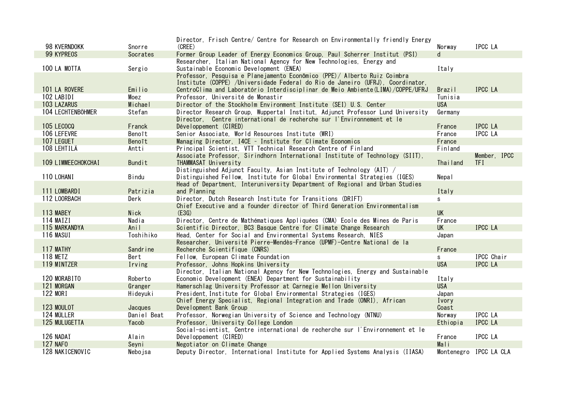|                    |               | Director, Frisch Centre/ Centre for Research on Environmentally friendly Energy   |            |                        |
|--------------------|---------------|-----------------------------------------------------------------------------------|------------|------------------------|
| 98 KVERNDOKK       | Snorre        | (CREE)                                                                            | Norway     | IPCC LA                |
| 99 KYPREOS         | Socrates      | Former Group Leader of Energy Economics Group, Paul Scherrer Institut (PSI)       | d          |                        |
|                    |               | Researcher, Italian National Agency for New Technologies, Energy and              |            |                        |
| 100 LA MOTTA       | Sergio        | Sustainable Economic Development (ENEA)                                           | Italy      |                        |
|                    |               | Professor, Pesquisa e Planejamento Econômico (PPE) / Alberto Ruiz Coimbra         |            |                        |
|                    |               | Institute (COPPE) /Universidade Federal do Rio de Janeiro (UFRJ), Coordinator,    |            |                        |
| 101 LA ROVERE      | Emilio        | CentroClima and Laboratório Interdisciplinar de Meio Ambiente (LIMA) / COPPE/UFRJ | Brazil     | <b>IPCC LA</b>         |
| 102 LABIDI         | Moez          | Professor, Université de Monastir                                                 | Tunisia    |                        |
| <b>103 LAZARUS</b> | Michael       | Director of the Stockholm Environment Institute (SEI) U.S. Center                 | <b>USA</b> |                        |
| 104 LECHTENBÖHMER  | Stefan        | Director Research Group, Wuppertal Institut, Adjunct Professor Lund University    | Germany    |                        |
|                    |               | Director, Centre international de recherche sur l'Environnement et le             |            |                        |
| <b>105 LECOCO</b>  | Franck        | Développement (CIRED)                                                             | France     | <b>IPCC LA</b>         |
| 106 LEFEVRE        | Benoît        | Senior Associate, World Resources Institute (WRI)                                 | France     | IPCC LA                |
| 107 LEGUET         | Benoît        | Managing Director, I4CE - Institute for Climate Economics                         | France     |                        |
| 108 LEHTILÄ        | Antti         | Principal Scientist, VII Technical Research Centre of Finland                     | Finland    |                        |
|                    |               | Associate Professor, Sirindhorn International Institute of Technology (SIIT),     |            | Member, IPCC           |
| 109 LIMMEECHOKCHAI | <b>Bundit</b> | THAMMASAT University                                                              | Thailand   | <b>TFI</b>             |
|                    |               | Distinguished Adjunct Faculty, Asian Institute of Technology (AIT) /              |            |                        |
| 110 LOHANI         | Bindu         | Distinguished Fellow, Institute for Global Environmental Strategies (IGES)        | Nepal      |                        |
|                    |               | Head of Department, Interuniversity Department of Regional and Urban Studies      |            |                        |
| 111 LOMBARDI       | Patrizia      | and Planning                                                                      | Italy      |                        |
| 112 LOORBACH       | Derk          | Director, Dutch Research Institute for Transitions (DRIFT)                        | s          |                        |
|                    |               | Chief Executive and a founder director of Third Generation Environmentalism       |            |                        |
| 113 MABEY          | <b>Nick</b>   | (E3G)                                                                             | <b>UK</b>  |                        |
| 114 MAÏZI          | Nadia         | Director, Centre de Mathématiques Appliquées (CMA) Ecole des Mines de Paris       | France     |                        |
| 115 MARKANDYA      | Anil          | Scientific Director, BC3 Basque Centre for Climate Change Research                | <b>UK</b>  | <b>IPCC LA</b>         |
| 116 MASUI          | Toshihiko     | Head, Center for Social and Environmental Systems Research, NIES                  | Japan      |                        |
|                    |               | Researcher, Université Pierre-Mendès-France (UPMF)-Centre National de la          |            |                        |
| 117 MATHY          | Sandr ine     | Recherche Scientifique (CNRS)                                                     | France     |                        |
| <b>118 METZ</b>    | Bert          | Fellow, European Climate Foundation                                               | s          | IPCC Chair             |
| 119 MINTZER        | Irving        | Professor, Johns Hopkins University                                               | <b>USA</b> | IPCC LA                |
|                    |               | Director, Italian National Agency for New Technologies, Energy and Sustainable    |            |                        |
| 120 MORABITO       | Roberto       | Economic Development (ENEA) Department for Sustainability                         | Italy      |                        |
| 121 MORGAN         | Granger       | Hamerschlag University Professor at Carnegie Mellon University                    | <b>USA</b> |                        |
| 122 MORI           | Hideyuki      | President. Institute for Global Environmental Strategies (IGES)                   | Japan      |                        |
|                    |               | Chief Energy Specialist, Regional Integration and Trade (ONRI), African           | Ivory      |                        |
| 123 MOULOT         | Jacques       | Development Bank Group                                                            | Coast      |                        |
| 124 MÜLLER         | Daniel Beat   | Professor, Norwegian University of Science and Technology (NTNU)                  | Norway     | IPCC LA                |
| 125 MULUGETTA      | Yacob         | Professor, University College London                                              | Ethiopia   | IPCC LA                |
|                    |               | Social-scientist, Centre international de recherche sur l'Environnement et le     |            |                        |
| 126 NADAÏ          | Alain         | Développement (CIRED)                                                             | France     | IPCC LA                |
| <b>127 NAFO</b>    | Seyni         | Negotiator on Climate Change                                                      | Mali       |                        |
| 128 NAKICENOVIC    | Nebojsa       | Deputy Director, International Institute for Applied Systems Analysis (IIASA)     |            | Montenegro IPCC LA CLA |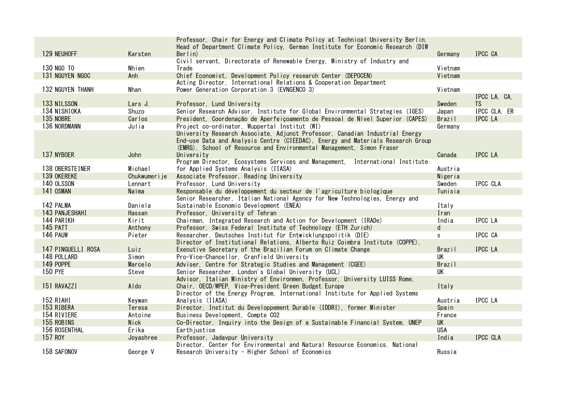|                    |                | Professor, Chair for Energy and Climate Policy at Technical University Berlin,  |               |                |
|--------------------|----------------|---------------------------------------------------------------------------------|---------------|----------------|
|                    |                | Head of Department Climate Policy, German Institute for Economic Research (DIW) |               |                |
| 129 NEUHOFF        | Karsten        | Berlin)                                                                         | Germany       | IPCC CA        |
|                    |                | Civil servant, Directorate of Renewable Energy, Ministry of Industry and        |               |                |
| 130 NGO TO         | Nhien          | Trade                                                                           | Vietnam       |                |
| 131 NGUYEN NGOC    | Anh            | Chief Economist, Development Policy research Center (DEPOCEN)                   | Vietnam       |                |
|                    |                | Acting Director, International Relations & Cooperation Department               |               |                |
| 132 NGUYEN THANH   | Nhan           | Power Generation Corporation 3 (EVNGENCO 3)                                     | Vietnam       |                |
|                    |                |                                                                                 |               | IPCC LA, CA,   |
| 133 NILSSON        | Lars J.        | Professor, Lund University                                                      | Sweden        | TS.            |
| 134 NISHIOKA       | Shuzo          | Senior Research Advisor, Institute for Global Environmental Strategies (IGES)   | Japan         | IPCC CLA. ER   |
| 135 NOBRE          | Carlos         | President, Coordenação de Aperfeiçoamento de Pessoal de Nível Superior (CAPES)  | Brazil        | IPCC LA        |
| 136 NORDMANN       | Julia          | Project co-ordinator, Wuppertal Institut (WI)                                   | Germany       |                |
|                    |                | University Research Associate, Adjunct Professor, Canadian Industrial Energy    |               |                |
|                    |                | End-use Data and Analysis Centre (CIEEDAC), Energy and Materials Research Group |               |                |
|                    |                | (EMRG), School of Resource and Environmental Management, Simon Fraser           |               |                |
| 137 NYBOER         | John           | University                                                                      | Canada        | <b>IPCC LA</b> |
|                    |                | Program Director, Ecosystems Services and Management, International Institute   |               |                |
| 138 OBERSTEINER    | Michael        | for Applied Systems Analysis (IIASA)                                            | Austria       |                |
| 139 OKEREKE        | Chukwumer i je | Associate Professor, Reading University                                         | Nigeria       |                |
| 140 OLSSON         | Lennart        | Professor, Lund University                                                      | Sweden        | IPCC CLA       |
| 141 OSMAN          | Naïma          | Responsable du développement du secteur de l'agriculture biologique             | Tunisia       |                |
|                    |                |                                                                                 |               |                |
| 142 PALMA          | Daniela        | Senior Researcher, Italian National Agency for New Technologies, Energy and     |               |                |
|                    |                | Sustainable Economic Development (ENEA)                                         | Italy         |                |
| 143 PANJESHAHI     | Hassan         | Professor, University of Tehran                                                 | Iran          |                |
| 144 PARIKH         | Kirit          | Chairman, Integrated Research and Action for Development (IRADe)                | India         | <b>IPCC LA</b> |
| 145 PATT           | Anthony        | Professor, Swiss Federal Institute of Technology (ETH Zurich)                   | d             |                |
| 146 PAUW           | Pieter         | Researcher, Deutsches Institut für Entwicklungspolitik (DIE)                    | s.            | IPCC CA        |
|                    |                | Director of Institutional Relations, Alberto Ruiz Coimbra Institute (COPPE),    |               |                |
| 147 PINGUELLI ROSA | Luiz           | Executive Secretary of the Brazilian Forum on Climate Change                    | Brazil        | IPCC LA        |
| 148 POLLARD        | Simon          | Pro-Vice-Chancellor, Cranfield University                                       | <b>UK</b>     |                |
| 149 POPPE          | Marcelo        | Adviser, Centre for Strategic Studies and Management (CGEE)                     | <b>Brazil</b> |                |
| <b>150 PYE</b>     | Steve          | Senior Researcher, London's Global University (UCL)                             | UK            |                |
|                    |                | Advisor, Italian Ministry of Environmen, Professor, University LUISS Rome,      |               |                |
| 151 RAVAZZI        | Aldo           | Chair, OECD/WPEP, Vice-President Green Budget Europe                            | Italy         |                |
|                    |                | Director of the Energy Program, International Institute for Applied Systems     |               |                |
| 152 RIAHI          | Keywan         | Analysis (IIASA)                                                                | Austria       | IPCC LA        |
| 153 RIBERA         | Teresa         | Director, Institut du Developpement Durable (IDDRI), former Minister            | Spain         |                |
| 154 RIVIERE        | Antoine        | Business Development, Compte CO2                                                | France        |                |
| 155 ROBINS         | Nick           | Co-Director, Inquiry into the Design of a Sustainable Financial System, UNEP    | <b>UK</b>     |                |
| 156 ROSENTHAL      | Erika          | Earthjustice                                                                    | <b>USA</b>    |                |
| 157 ROY            | Joyashree      | Professor, Jadavpur University                                                  | India         | IPCC CLA       |
|                    |                | Director, Center for Environmental and Natural Resource Economics, National     |               |                |
| 158 SAFONOV        | George V       | Research University - Higher School of Economics                                | Russia        |                |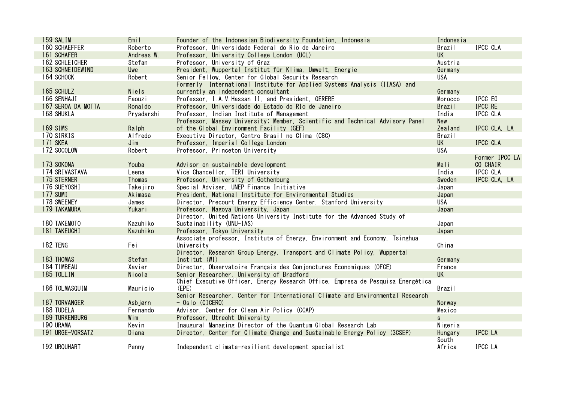| 159 SALIM             | Emil             | Founder of the Indonesian Biodiversity Foundation, Indonesia                                                     | Indonesia           |                 |
|-----------------------|------------------|------------------------------------------------------------------------------------------------------------------|---------------------|-----------------|
| <b>160 SCHAEFFER</b>  | Roberto          | Professor, Universidade Federal do Rio de Janeiro                                                                | Brazil              | IPCC CLA        |
| 161 SCHAFER           | Andreas W.       | Professor, University College London (UCL)                                                                       | <b>UK</b>           |                 |
| 162 SCHLEICHER        | Stefan           | Professor, University of Graz                                                                                    | Austria             |                 |
| 163 SCHNEIDEWIND      | Uwe              | President, Wuppertal Institut für Klima, Umwelt, Energie                                                         | Germany             |                 |
| 164 SCHOCK            | Robert           | Senior Fellow, Center for Global Security Research                                                               | <b>USA</b>          |                 |
|                       |                  | Formerly International Institute for Applied Systems Analysis (IIASA) and                                        |                     |                 |
| 165 SCHULZ            | <b>Niels</b>     | currently an independent consultant                                                                              | Germany             |                 |
| 166 SENHAJI           | Faouzi           | Professor, I.A.V. Hassan II, and President, GERERE                                                               | Morocco             | IPCC EG         |
| 167 SEROA DA MOTTA    | Ronaldo          | Professor, Universidade do Estado do RIo de Janeiro                                                              | <b>Brazil</b>       | IPCC RE         |
| 168 SHUKLA            | Pryadarshi       | Professor, Indian Institute of Management                                                                        | India               | IPCC CLA        |
|                       |                  | Professor, Massey University; Member, Scientific and Technical Advisory Panel                                    | New                 |                 |
| <b>169 SIMS</b>       | Ralph            | of the Global Environment Facility (GEF)                                                                         | Zealand             | IPCC CLA, LA    |
| 170 SIRKIS            | Alfredo          | Executive Director, Centro Brasil no Clima (CBC)                                                                 | Brazil              |                 |
| 171 SKEA              | Join             | Professor, Imperial College London                                                                               | <b>UK</b>           | IPCC CLA        |
| 172 SOCOLOW           | Robert           | Professor, Princeton University                                                                                  | <b>USA</b>          |                 |
|                       |                  |                                                                                                                  |                     | Former IPCC LA  |
| 173 SOKONA            | Youba            | Advisor on sustainable development                                                                               | Mali                | CO CHAIR        |
| 174 SRIVASTAVA        | Leena            | Vice Chancellor, TERI University                                                                                 | India               | <b>IPCC CLA</b> |
| 175 STERNER           | Thomas           | Professor, University of Gothenburg                                                                              | Sweden              | IPCC CLA, LA    |
| 176 SUEYOSHI          | Takejiro         | Special Adviser, UNEP Finance Initiative                                                                         | Japan               |                 |
| 177 SUMI              | Akimasa          | President, National Institute for Environmental Studies                                                          | Japan               |                 |
| 178 SWEENEY           | James            | Director, Precourt Energy Efficiency Center, Stanford University                                                 | USA                 |                 |
| 179 TAKAMURA          | Yukari           | Professor, Nagoya University, Japan                                                                              | Japan               |                 |
|                       |                  | Director, United Nations University Institute for the Advanced Study of                                          |                     |                 |
| 180 TAKEMOTO          | Kazuhiko         | Sustainability (UNU-IAS)                                                                                         | Japan               |                 |
| <b>181 TAKEUCHI</b>   | Kazuhiko         | Professor, Tokyo University                                                                                      | Japan               |                 |
|                       |                  | Associate professor, Institute of Energy, Environment and Economy, Tsinghua                                      |                     |                 |
| 182 TENG              | Fei              | University                                                                                                       | China               |                 |
| 183 THOMAS            | Stefan           | Director, Research Group Energy, Transport and Climate Policy, Wuppertal<br>Institut (WI)                        | Germany             |                 |
| 184 TIMBEAU           |                  |                                                                                                                  |                     |                 |
| 185 TOLLIN            | Xavier<br>Nicola | Director, Observatoire Français des Conjonctures Economiques (OFCE)<br>Senior Researcher, University of Bradford | France<br><b>UK</b> |                 |
|                       |                  | Chief Executive Officer, Energy Research Office, Empresa de Pesquisa Energética                                  |                     |                 |
| 186 TOLMASQUIM        | Mauricio         | (EPE)                                                                                                            | <b>Brazil</b>       |                 |
|                       |                  | Senior Researcher, Center for International Climate and Environmental Research                                   |                     |                 |
| <b>187 TORVANGER</b>  | Asbjørn          | $-$ Oslo (CICERO)                                                                                                | Norway              |                 |
| 188 TUDELA            | Fernando         | Advisor, Center for Clean Air Policy (CCAP)                                                                      | Mexico              |                 |
| <b>189 TURKENBURG</b> | Wim              | Professor, Utrecht University                                                                                    | $\mathsf{s}$        |                 |
| 190 URAMA             | Kevin            | Inaugural Managing Director of the Quantum Global Research Lab                                                   | Nigeria             |                 |
| 191 URGE-VORSATZ      | Diana            | Director, Center for Climate Change and Sustainable Energy Policy (3CSEP)                                        | <b>Hungary</b>      | <b>IPCC LA</b>  |
|                       |                  |                                                                                                                  | South               |                 |
| <b>192 URQUHART</b>   | Penny            | Independent climate-resilient development specialist                                                             | Africa              | IPCC LA         |